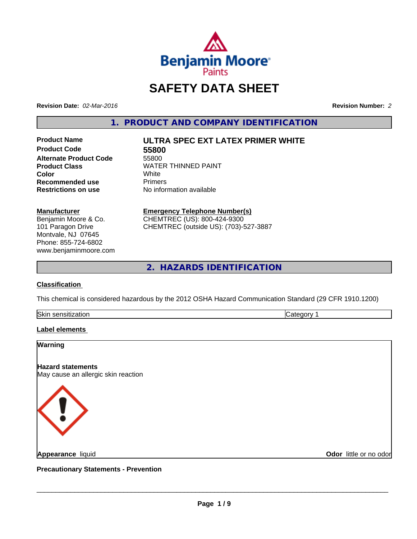

# **SAFETY DATA SHEET**

**Revision Date:** *02-Mar-2016* **Revision Number:** *2*

**1. PRODUCT AND COMPANY IDENTIFICATION**

**Product Code 55800 Alternate Product Code** 55800 **Recommended use Primers Restrictions on use** No information available

# **Product Name ULTRA SPEC EXT LATEX PRIMER WHITE**

**Product Class** WATER THINNED PAINT<br>
Color **Color** White

**Manufacturer** Benjamin Moore & Co. 101 Paragon Drive Montvale, NJ 07645 Phone: 855-724-6802 www.benjaminmoore.com **Emergency Telephone Number(s)** CHEMTREC (US): 800-424-9300

CHEMTREC (outside US): (703)-527-3887

**2. HAZARDS IDENTIFICATION**

# **Classification**

This chemical is considered hazardous by the 2012 OSHA Hazard Communication Standard (29 CFR 1910.1200)

| Skin<br>----<br>auu.<br>ווהוחה | ־<br>. |
|--------------------------------|--------|
|                                |        |

## **Label elements**

#### **Warning**

## **Hazard statements**

May cause an allergic skin reaction



**Appearance** liquid

**Odor** little or no odor

**Precautionary Statements - Prevention**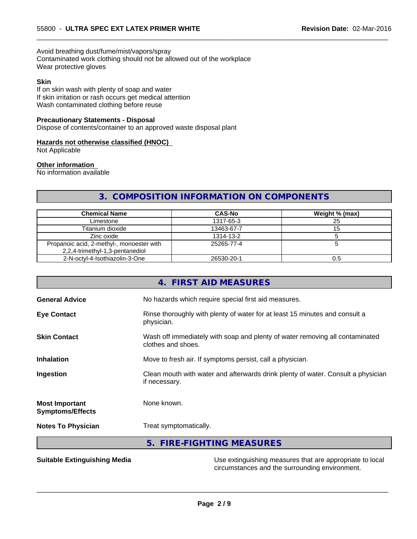Avoid breathing dust/fume/mist/vapors/spray Contaminated work clothing should not be allowed out of the workplace Wear protective gloves

#### **Skin**

If on skin wash with plenty of soap and water If skin irritation or rash occurs get medical attention Wash contaminated clothing before reuse

#### **Precautionary Statements - Disposal**

Dispose of contents/container to an approved waste disposal plant

#### **Hazards not otherwise classified (HNOC)**

Not Applicable

#### **Other information**

No information available

# **3. COMPOSITION INFORMATION ON COMPONENTS**

 $\overline{\phantom{a}}$  ,  $\overline{\phantom{a}}$  ,  $\overline{\phantom{a}}$  ,  $\overline{\phantom{a}}$  ,  $\overline{\phantom{a}}$  ,  $\overline{\phantom{a}}$  ,  $\overline{\phantom{a}}$  ,  $\overline{\phantom{a}}$  ,  $\overline{\phantom{a}}$  ,  $\overline{\phantom{a}}$  ,  $\overline{\phantom{a}}$  ,  $\overline{\phantom{a}}$  ,  $\overline{\phantom{a}}$  ,  $\overline{\phantom{a}}$  ,  $\overline{\phantom{a}}$  ,  $\overline{\phantom{a}}$ 

| <b>Chemical Name</b>                                                         | <b>CAS-No</b> | Weight % (max) |
|------------------------------------------------------------------------------|---------------|----------------|
| Limestone                                                                    | 1317-65-3     | 25             |
| Titanium dioxide                                                             | 13463-67-7    |                |
| Zinc oxide                                                                   | 1314-13-2     |                |
| Propanoic acid, 2-methyl-, monoester with<br>2,2,4-trimethyl-1,3-pentanediol | 25265-77-4    |                |
| 2-N-octvl-4-Isothiazolin-3-One                                               | 26530-20-1    |                |

| <b>Suitable Extinguishing Media</b>              | Use extinguishing measures that are appropriate to local                                           |
|--------------------------------------------------|----------------------------------------------------------------------------------------------------|
|                                                  | 5. FIRE-FIGHTING MEASURES                                                                          |
| <b>Notes To Physician</b>                        | Treat symptomatically.                                                                             |
| <b>Most Important</b><br><b>Symptoms/Effects</b> | None known.                                                                                        |
| Ingestion                                        | Clean mouth with water and afterwards drink plenty of water. Consult a physician<br>if necessary.  |
| <b>Inhalation</b>                                | Move to fresh air. If symptoms persist, call a physician.                                          |
| <b>Skin Contact</b>                              | Wash off immediately with soap and plenty of water removing all contaminated<br>clothes and shoes. |
| <b>Eye Contact</b>                               | Rinse thoroughly with plenty of water for at least 15 minutes and consult a<br>physician.          |
| <b>General Advice</b>                            | No hazards which require special first aid measures.                                               |
|                                                  | 4. FIRST AID MEASURES                                                                              |

**Page 2 / 9**

 $\overline{\phantom{a}}$  ,  $\overline{\phantom{a}}$  ,  $\overline{\phantom{a}}$  ,  $\overline{\phantom{a}}$  ,  $\overline{\phantom{a}}$  ,  $\overline{\phantom{a}}$  ,  $\overline{\phantom{a}}$  ,  $\overline{\phantom{a}}$  ,  $\overline{\phantom{a}}$  ,  $\overline{\phantom{a}}$  ,  $\overline{\phantom{a}}$  ,  $\overline{\phantom{a}}$  ,  $\overline{\phantom{a}}$  ,  $\overline{\phantom{a}}$  ,  $\overline{\phantom{a}}$  ,  $\overline{\phantom{a}}$ 

circumstances and the surrounding environment.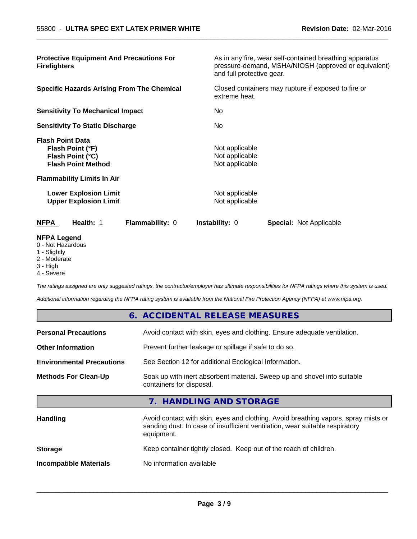| <b>Protective Equipment And Precautions For</b><br><b>Firefighters</b>                       | As in any fire, wear self-contained breathing apparatus<br>pressure-demand, MSHA/NIOSH (approved or equivalent)<br>and full protective gear. |
|----------------------------------------------------------------------------------------------|----------------------------------------------------------------------------------------------------------------------------------------------|
| <b>Specific Hazards Arising From The Chemical</b>                                            | Closed containers may rupture if exposed to fire or<br>extreme heat.                                                                         |
| <b>Sensitivity To Mechanical Impact</b>                                                      | No.                                                                                                                                          |
| <b>Sensitivity To Static Discharge</b>                                                       | No.                                                                                                                                          |
| <b>Flash Point Data</b><br>Flash Point (°F)<br>Flash Point (°C)<br><b>Flash Point Method</b> | Not applicable<br>Not applicable<br>Not applicable                                                                                           |
| <b>Flammability Limits In Air</b>                                                            |                                                                                                                                              |
| <b>Lower Explosion Limit</b><br><b>Upper Explosion Limit</b>                                 | Not applicable<br>Not applicable                                                                                                             |
| <b>NFPA</b><br>Health: 1<br>Flammability: 0                                                  | Instability: 0<br><b>Special: Not Applicable</b>                                                                                             |
| <b>NFPA Legend</b><br>0 - Not Hazardous                                                      |                                                                                                                                              |

 $\overline{\phantom{a}}$  ,  $\overline{\phantom{a}}$  ,  $\overline{\phantom{a}}$  ,  $\overline{\phantom{a}}$  ,  $\overline{\phantom{a}}$  ,  $\overline{\phantom{a}}$  ,  $\overline{\phantom{a}}$  ,  $\overline{\phantom{a}}$  ,  $\overline{\phantom{a}}$  ,  $\overline{\phantom{a}}$  ,  $\overline{\phantom{a}}$  ,  $\overline{\phantom{a}}$  ,  $\overline{\phantom{a}}$  ,  $\overline{\phantom{a}}$  ,  $\overline{\phantom{a}}$  ,  $\overline{\phantom{a}}$ 

- 1 Slightly
- 2 Moderate
- 3 High
- 4 Severe

*The ratings assigned are only suggested ratings, the contractor/employer has ultimate responsibilities for NFPA ratings where this system is used.*

*Additional information regarding the NFPA rating system is available from the National Fire Protection Agency (NFPA) at www.nfpa.org.*

|                                  | 6. ACCIDENTAL RELEASE MEASURES                                                                                                                                                   |
|----------------------------------|----------------------------------------------------------------------------------------------------------------------------------------------------------------------------------|
| <b>Personal Precautions</b>      | Avoid contact with skin, eyes and clothing. Ensure adequate ventilation.                                                                                                         |
| <b>Other Information</b>         | Prevent further leakage or spillage if safe to do so.                                                                                                                            |
| <b>Environmental Precautions</b> | See Section 12 for additional Ecological Information.                                                                                                                            |
| <b>Methods For Clean-Up</b>      | Soak up with inert absorbent material. Sweep up and shovel into suitable<br>containers for disposal.                                                                             |
|                                  | 7. HANDLING AND STORAGE                                                                                                                                                          |
| <b>Handling</b>                  | Avoid contact with skin, eyes and clothing. Avoid breathing vapors, spray mists or<br>sanding dust. In case of insufficient ventilation, wear suitable respiratory<br>equipment. |
| <b>Storage</b>                   | Keep container tightly closed. Keep out of the reach of children.                                                                                                                |
| <b>Incompatible Materials</b>    | No information available                                                                                                                                                         |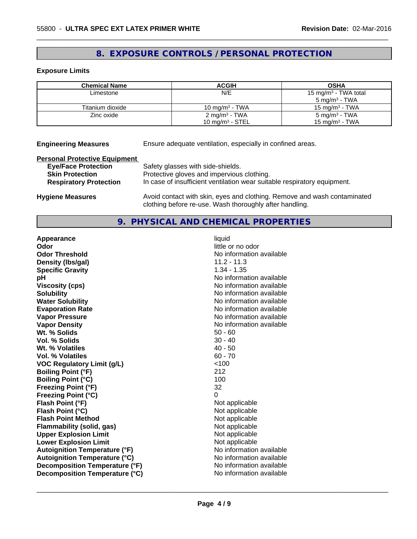# **8. EXPOSURE CONTROLS / PERSONAL PROTECTION**

#### **Exposure Limits**

| <b>Chemical Name</b> | <b>ACGIH</b>              | <b>OSHA</b>                      |
|----------------------|---------------------------|----------------------------------|
| Limestone            | N/E                       | 15 mg/m <sup>3</sup> - TWA total |
|                      |                           | $5 \text{ ma/m}^3$ - TWA         |
| Titanium dioxide     | 10 mg/m $3$ - TWA         | 15 mg/m $3$ - TWA                |
| Zinc oxide           | 2 mg/m <sup>3</sup> - TWA | $5 \text{ mg/m}^3$ - TWA         |
|                      | 10 mg/m $3$ - STEL        | $15 \text{ mg/m}^3$ - TWA        |

**Engineering Measures** Ensure adequate ventilation, especially in confined areas.

#### **Personal Protective Equipment**

| <b>Eye/Face Protection</b>    | Safety glasses with side-shields.                                        |
|-------------------------------|--------------------------------------------------------------------------|
| <b>Skin Protection</b>        | Protective gloves and impervious clothing.                               |
| <b>Respiratory Protection</b> | In case of insufficient ventilation wear suitable respiratory equipment. |
| Uusiana Maaauraa              | buoid contact with align avec and alathing. Bemove and week contaminated |

**Hygiene Measures** Avoid contact with skin, eyes and clothing. Remove and wash contaminated clothing before re-use. Wash thoroughly after handling.

 $\overline{\phantom{a}}$  ,  $\overline{\phantom{a}}$  ,  $\overline{\phantom{a}}$  ,  $\overline{\phantom{a}}$  ,  $\overline{\phantom{a}}$  ,  $\overline{\phantom{a}}$  ,  $\overline{\phantom{a}}$  ,  $\overline{\phantom{a}}$  ,  $\overline{\phantom{a}}$  ,  $\overline{\phantom{a}}$  ,  $\overline{\phantom{a}}$  ,  $\overline{\phantom{a}}$  ,  $\overline{\phantom{a}}$  ,  $\overline{\phantom{a}}$  ,  $\overline{\phantom{a}}$  ,  $\overline{\phantom{a}}$ 

# **9. PHYSICAL AND CHEMICAL PROPERTIES**

| Appearance                           | liquid                   |
|--------------------------------------|--------------------------|
| Odor                                 | little or no odor        |
| <b>Odor Threshold</b>                | No information available |
| Density (Ibs/gal)                    | $11.2 - 11.3$            |
| <b>Specific Gravity</b>              | $1.34 - 1.35$            |
| рH                                   | No information available |
| <b>Viscosity (cps)</b>               | No information available |
| <b>Solubility</b>                    | No information available |
| <b>Water Solubility</b>              | No information available |
| <b>Evaporation Rate</b>              | No information available |
| <b>Vapor Pressure</b>                | No information available |
| <b>Vapor Density</b>                 | No information available |
| Wt. % Solids                         | $50 - 60$                |
| Vol. % Solids                        | $30 - 40$                |
| Wt. % Volatiles                      | $40 - 50$                |
| <b>Vol. % Volatiles</b>              | $60 - 70$                |
| <b>VOC Regulatory Limit (g/L)</b>    | < 100                    |
| <b>Boiling Point (°F)</b>            | 212                      |
| <b>Boiling Point (°C)</b>            | 100                      |
| <b>Freezing Point (°F)</b>           | 32                       |
| <b>Freezing Point (°C)</b>           | 0                        |
| Flash Point (°F)                     | Not applicable           |
| Flash Point (°C)                     | Not applicable           |
| <b>Flash Point Method</b>            | Not applicable           |
| Flammability (solid, gas)            | Not applicable           |
| <b>Upper Explosion Limit</b>         | Not applicable           |
| <b>Lower Explosion Limit</b>         | Not applicable           |
| <b>Autoignition Temperature (°F)</b> | No information available |
| <b>Autoignition Temperature (°C)</b> | No information available |
| Decomposition Temperature (°F)       | No information available |
| Decomposition Temperature (°C)       | No information available |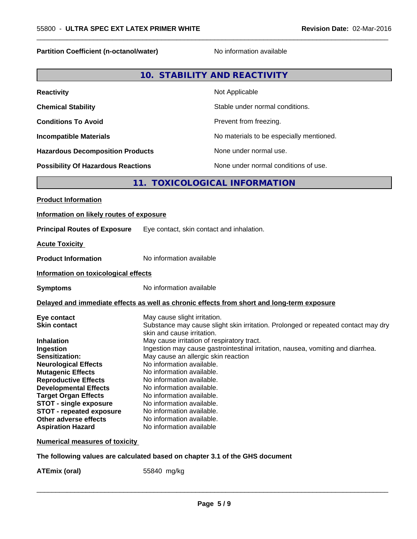#### **Partition Coefficient (n-octanol/water)** No information available

 $\overline{\phantom{a}}$  ,  $\overline{\phantom{a}}$  ,  $\overline{\phantom{a}}$  ,  $\overline{\phantom{a}}$  ,  $\overline{\phantom{a}}$  ,  $\overline{\phantom{a}}$  ,  $\overline{\phantom{a}}$  ,  $\overline{\phantom{a}}$  ,  $\overline{\phantom{a}}$  ,  $\overline{\phantom{a}}$  ,  $\overline{\phantom{a}}$  ,  $\overline{\phantom{a}}$  ,  $\overline{\phantom{a}}$  ,  $\overline{\phantom{a}}$  ,  $\overline{\phantom{a}}$  ,  $\overline{\phantom{a}}$ 

|--|

| <b>Reactivity</b>                         | Not Applicable                           |
|-------------------------------------------|------------------------------------------|
| <b>Chemical Stability</b>                 | Stable under normal conditions.          |
| <b>Conditions To Avoid</b>                | Prevent from freezing.                   |
| <b>Incompatible Materials</b>             | No materials to be especially mentioned. |
| <b>Hazardous Decomposition Products</b>   | None under normal use.                   |
| <b>Possibility Of Hazardous Reactions</b> | None under normal conditions of use.     |

# **11. TOXICOLOGICAL INFORMATION**

| <b>Product Information</b>               |                                                                                            |
|------------------------------------------|--------------------------------------------------------------------------------------------|
| Information on likely routes of exposure |                                                                                            |
| <b>Principal Routes of Exposure</b>      | Eye contact, skin contact and inhalation.                                                  |
| <b>Acute Toxicity</b>                    |                                                                                            |
| <b>Product Information</b>               | No information available                                                                   |
| Information on toxicological effects     |                                                                                            |
| <b>Symptoms</b>                          | No information available                                                                   |
|                                          | Delayed and immediate effects as well as chronic effects from short and long-term exposure |
| Eye contact                              | May cause slight irritation.                                                               |
| <b>Skin contact</b>                      | Substance may cause slight skin irritation. Prolonged or repeated contact may dry          |
|                                          | skin and cause irritation.                                                                 |
| Inhalation                               | May cause irritation of respiratory tract.                                                 |
| Ingestion                                | Ingestion may cause gastrointestinal irritation, nausea, vomiting and diarrhea.            |
| <b>Sensitization:</b>                    | May cause an allergic skin reaction                                                        |
| <b>Neurological Effects</b>              | No information available.                                                                  |
| <b>Mutagenic Effects</b>                 | No information available.                                                                  |
| <b>Reproductive Effects</b>              | No information available.                                                                  |
| <b>Developmental Effects</b>             | No information available.                                                                  |
| <b>Target Organ Effects</b>              | No information available.                                                                  |
| <b>STOT - single exposure</b>            | No information available.                                                                  |
| <b>STOT - repeated exposure</b>          | No information available.                                                                  |
| Other adverse effects                    | No information available.                                                                  |
| <b>Aspiration Hazard</b>                 | No information available                                                                   |
| Numerical measures of toxicitv           |                                                                                            |
|                                          |                                                                                            |

**The following values are calculated based on chapter 3.1 of the GHS document**

**ATEmix (oral)** 55840 mg/kg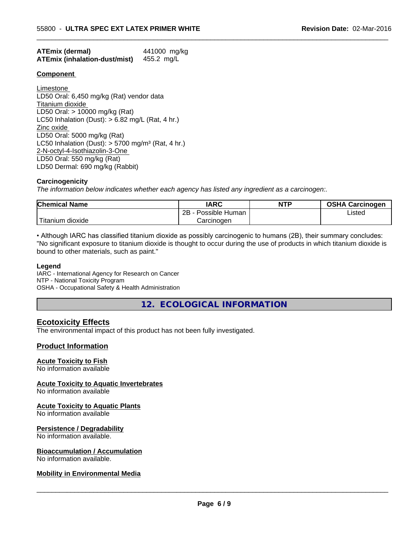| <b>ATEmix (dermal)</b>               | 441000 mg/kg |
|--------------------------------------|--------------|
| <b>ATEmix (inhalation-dust/mist)</b> | 455.2 mg/L   |

#### **Component**

Limestone LD50 Oral: 6,450 mg/kg (Rat) vendor data Titanium dioxide LD50 Oral: > 10000 mg/kg (Rat) LC50 Inhalation (Dust):  $> 6.82$  mg/L (Rat, 4 hr.) Zinc oxide LD50 Oral: 5000 mg/kg (Rat) LC50 Inhalation (Dust):  $> 5700$  mg/m<sup>3</sup> (Rat, 4 hr.) 2-N-octyl-4-Isothiazolin-3-One LD50 Oral: 550 mg/kg (Rat) LD50 Dermal: 690 mg/kg (Rabbit)

#### **Carcinogenicity**

*The information below indicateswhether each agency has listed any ingredient as a carcinogen:.*

| <b>Chemical Name</b>          | <b>IARC</b>          | <b>NTP</b> | <b>OSHA Carcinogen</b> |
|-------------------------------|----------------------|------------|------------------------|
|                               | 2B<br>Possible Human |            | Listed                 |
| $-1$<br>dioxide<br>. Hitanium | Carcinogen           |            |                        |

 $\overline{\phantom{a}}$  ,  $\overline{\phantom{a}}$  ,  $\overline{\phantom{a}}$  ,  $\overline{\phantom{a}}$  ,  $\overline{\phantom{a}}$  ,  $\overline{\phantom{a}}$  ,  $\overline{\phantom{a}}$  ,  $\overline{\phantom{a}}$  ,  $\overline{\phantom{a}}$  ,  $\overline{\phantom{a}}$  ,  $\overline{\phantom{a}}$  ,  $\overline{\phantom{a}}$  ,  $\overline{\phantom{a}}$  ,  $\overline{\phantom{a}}$  ,  $\overline{\phantom{a}}$  ,  $\overline{\phantom{a}}$ 

• Although IARC has classified titanium dioxide as possibly carcinogenic to humans (2B), their summary concludes: "No significant exposure to titanium dioxide is thought to occur during the use of products in which titanium dioxide is bound to other materials, such as paint."

#### **Legend**

IARC - International Agency for Research on Cancer NTP - National Toxicity Program OSHA - Occupational Safety & Health Administration

**12. ECOLOGICAL INFORMATION**

## **Ecotoxicity Effects**

The environmental impact of this product has not been fully investigated.

## **Product Information**

#### **Acute Toxicity to Fish**

No information available

**Acute Toxicity to Aquatic Invertebrates**

No information available

#### **Acute Toxicity to Aquatic Plants**

No information available

#### **Persistence / Degradability**

No information available.

#### **Bioaccumulation / Accumulation**

No information available.

#### **Mobility in Environmental Media**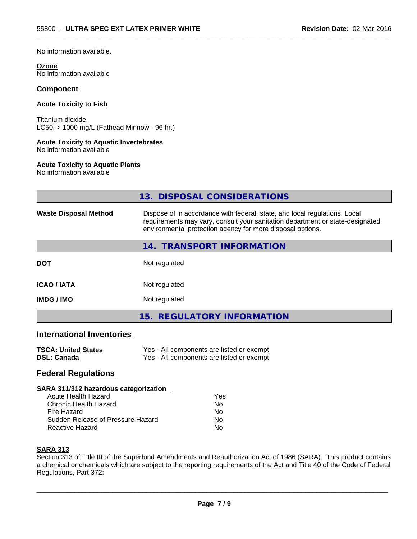No information available.

#### **Ozone**

No information available

#### **Component**

#### **Acute Toxicity to Fish**

Titanium dioxide  $LC50:$  > 1000 mg/L (Fathead Minnow - 96 hr.)

#### **Acute Toxicity to Aquatic Invertebrates**

No information available

#### **Acute Toxicity to Aquatic Plants**

No information available

|                              | 13. DISPOSAL CONSIDERATIONS                                                                                                                                                                                               |
|------------------------------|---------------------------------------------------------------------------------------------------------------------------------------------------------------------------------------------------------------------------|
| <b>Waste Disposal Method</b> | Dispose of in accordance with federal, state, and local regulations. Local<br>requirements may vary, consult your sanitation department or state-designated<br>environmental protection agency for more disposal options. |
|                              | 14. TRANSPORT INFORMATION                                                                                                                                                                                                 |
| <b>DOT</b>                   | Not regulated                                                                                                                                                                                                             |
| <b>ICAO / IATA</b>           | Not regulated                                                                                                                                                                                                             |
| <b>IMDG / IMO</b>            | Not regulated                                                                                                                                                                                                             |
|                              | 15. REGULATORY INFORMATION                                                                                                                                                                                                |
|                              |                                                                                                                                                                                                                           |

 $\overline{\phantom{a}}$  ,  $\overline{\phantom{a}}$  ,  $\overline{\phantom{a}}$  ,  $\overline{\phantom{a}}$  ,  $\overline{\phantom{a}}$  ,  $\overline{\phantom{a}}$  ,  $\overline{\phantom{a}}$  ,  $\overline{\phantom{a}}$  ,  $\overline{\phantom{a}}$  ,  $\overline{\phantom{a}}$  ,  $\overline{\phantom{a}}$  ,  $\overline{\phantom{a}}$  ,  $\overline{\phantom{a}}$  ,  $\overline{\phantom{a}}$  ,  $\overline{\phantom{a}}$  ,  $\overline{\phantom{a}}$ 

# **International Inventories**

| <b>TSCA: United States</b> | Yes - All components are listed or exempt. |
|----------------------------|--------------------------------------------|
| <b>DSL: Canada</b>         | Yes - All components are listed or exempt. |

# **Federal Regulations**

#### **SARA 311/312 hazardous categorization**

| Acute Health Hazard               | Yes |
|-----------------------------------|-----|
| Chronic Health Hazard             | Nο  |
| Fire Hazard                       | Nο  |
| Sudden Release of Pressure Hazard | Nο  |
| Reactive Hazard                   | Nο  |

# **SARA 313**

Section 313 of Title III of the Superfund Amendments and Reauthorization Act of 1986 (SARA). This product contains a chemical or chemicals which are subject to the reporting requirements of the Act and Title 40 of the Code of Federal Regulations, Part 372: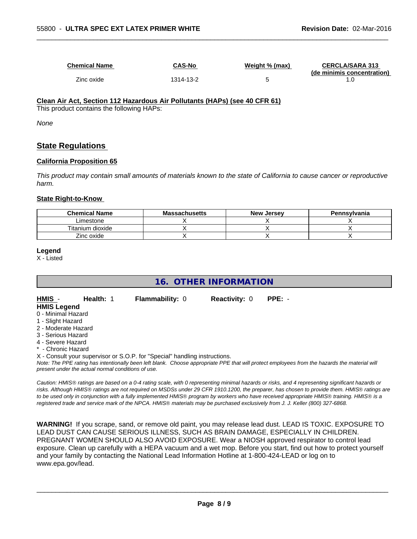| <b>Chemical Name</b> | <b>CAS-No</b> | Weight % (max) | <b>CERCLA/SARA 313</b><br>(de minimis concentration) |
|----------------------|---------------|----------------|------------------------------------------------------|
| Zinc oxide           | 1314-13-2     |                |                                                      |

 $\overline{\phantom{a}}$  ,  $\overline{\phantom{a}}$  ,  $\overline{\phantom{a}}$  ,  $\overline{\phantom{a}}$  ,  $\overline{\phantom{a}}$  ,  $\overline{\phantom{a}}$  ,  $\overline{\phantom{a}}$  ,  $\overline{\phantom{a}}$  ,  $\overline{\phantom{a}}$  ,  $\overline{\phantom{a}}$  ,  $\overline{\phantom{a}}$  ,  $\overline{\phantom{a}}$  ,  $\overline{\phantom{a}}$  ,  $\overline{\phantom{a}}$  ,  $\overline{\phantom{a}}$  ,  $\overline{\phantom{a}}$ 

# **Clean Air Act,Section 112 Hazardous Air Pollutants (HAPs) (see 40 CFR 61)**

This product contains the following HAPs:

*None*

# **State Regulations**

#### **California Proposition 65**

This product may contain small amounts of materials known to the state of California to cause cancer or reproductive *harm.*

#### **State Right-to-Know**

| <b>Chemical Name</b> | <b>Massachusetts</b> | <b>New Jersey</b> | Pennsylvania |
|----------------------|----------------------|-------------------|--------------|
| Limestone            |                      |                   |              |
| Titanium dioxide     |                      |                   |              |
| Zinc oxide           |                      |                   |              |

#### **Legend**

X - Listed

**16. OTHER INFORMATION**

| HMIS -<br><b>HMIS Legend</b> | <b>Health: 1</b> | <b>Flammability: 0</b> | <b>Reactivity: 0</b> | PPE: - |  |
|------------------------------|------------------|------------------------|----------------------|--------|--|
| 0 - Minimal Hazard           |                  |                        |                      |        |  |
| 1 - Slight Hazard            |                  |                        |                      |        |  |
| 2 - Moderate Hazard          |                  |                        |                      |        |  |

- 
- 3 Serious Hazard
- 4 Severe Hazard
- Chronic Hazard

X - Consult your supervisor or S.O.P. for "Special" handling instructions.

*Note: The PPE rating has intentionally been left blank. Choose appropriate PPE that will protect employees from the hazards the material will present under the actual normal conditions of use.*

*Caution: HMISÒ ratings are based on a 0-4 rating scale, with 0 representing minimal hazards or risks, and 4 representing significant hazards or risks. Although HMISÒ ratings are not required on MSDSs under 29 CFR 1910.1200, the preparer, has chosen to provide them. HMISÒ ratings are to be used only in conjunction with a fully implemented HMISÒ program by workers who have received appropriate HMISÒ training. HMISÒ is a registered trade and service mark of the NPCA. HMISÒ materials may be purchased exclusively from J. J. Keller (800) 327-6868.*

**WARNING!** If you scrape, sand, or remove old paint, you may release lead dust. LEAD IS TOXIC. EXPOSURE TO LEAD DUST CAN CAUSE SERIOUS ILLNESS, SUCH AS BRAIN DAMAGE, ESPECIALLY IN CHILDREN. PREGNANT WOMEN SHOULD ALSO AVOID EXPOSURE.Wear a NIOSH approved respirator to control lead exposure. Clean up carefully with a HEPA vacuum and a wet mop. Before you start, find out how to protect yourself and your family by contacting the National Lead Information Hotline at 1-800-424-LEAD or log on to www.epa.gov/lead.